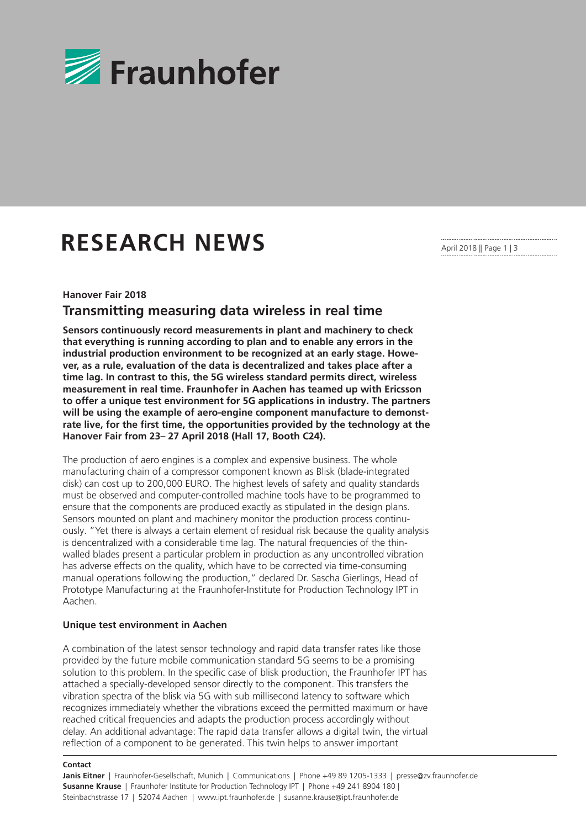

# **RESEARCH NEWS**

April 2018 || Page 1 | 3

#### **Hanover Fair 2018**

## **Transmitting measuring data wireless in real time**

**Sensors continuously record measurements in plant and machinery to check that everything is running according to plan and to enable any errors in the industrial production environment to be recognized at an early stage. However, as a rule, evaluation of the data is decentralized and takes place after a time lag. In contrast to this, the 5G wireless standard permits direct, wireless measurement in real time. Fraunhofer in Aachen has teamed up with Ericsson to offer a unique test environment for 5G applications in industry. The partners will be using the example of aero-engine component manufacture to demonstrate live, for the first time, the opportunities provided by the technology at the Hanover Fair from 23– 27 April 2018 (Hall 17, Booth C24).** 

The production of aero engines is a complex and expensive business. The whole manufacturing chain of a compressor component known as Blisk (blade-integrated disk) can cost up to 200,000 EURO. The highest levels of safety and quality standards must be observed and computer-controlled machine tools have to be programmed to ensure that the components are produced exactly as stipulated in the design plans. Sensors mounted on plant and machinery monitor the production process continuously. "Yet there is always a certain element of residual risk because the quality analysis is dencentralized with a considerable time lag. The natural frequencies of the thinwalled blades present a particular problem in production as any uncontrolled vibration has adverse effects on the quality, which have to be corrected via time-consuming manual operations following the production," declared Dr. Sascha Gierlings, Head of Prototype Manufacturing at the Fraunhofer-Institute for Production Technology IPT in Aachen.

#### **Unique test environment in Aachen**

A combination of the latest sensor technology and rapid data transfer rates like those provided by the future mobile communication standard 5G seems to be a promising solution to this problem. In the specific case of blisk production, the Fraunhofer IPT has attached a specially-developed sensor directly to the component. This transfers the vibration spectra of the blisk via 5G with sub millisecond latency to software which recognizes immediately whether the vibrations exceed the permitted maximum or have reached critical frequencies and adapts the production process accordingly without delay. An additional advantage: The rapid data transfer allows a digital twin, the virtual reflection of a component to be generated. This twin helps to answer important

#### **Contact**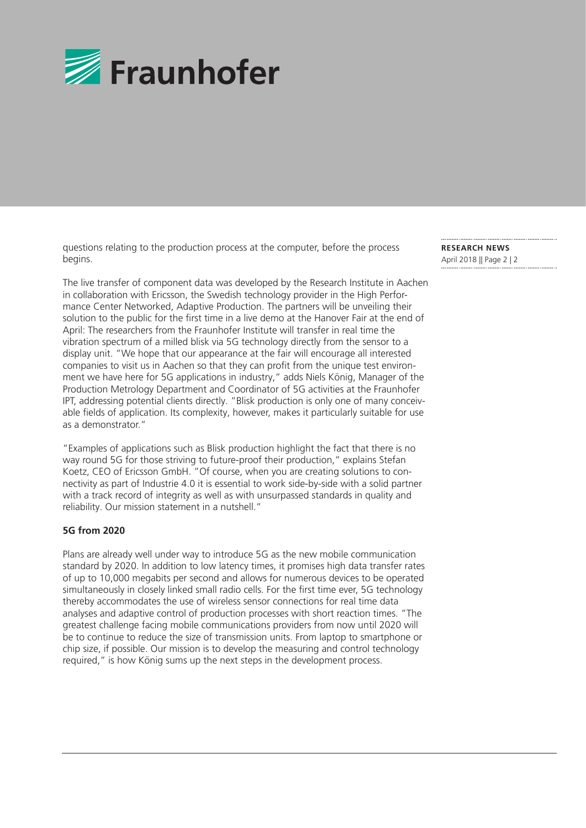

questions relating to the production process at the computer, before the process begins.

The live transfer of component data was developed by the Research Institute in Aachen in collaboration with Ericsson, the Swedish technology provider in the High Performance Center Networked, Adaptive Production. The partners will be unveiling their solution to the public for the first time in a live demo at the Hanover Fair at the end of April: The researchers from the Fraunhofer Institute will transfer in real time the vibration spectrum of a milled blisk via 5G technology directly from the sensor to a display unit. "We hope that our appearance at the fair will encourage all interested companies to visit us in Aachen so that they can profit from the unique test environment we have here for 5G applications in industry," adds Niels König, Manager of the Production Metrology Department and Coordinator of 5G activities at the Fraunhofer IPT, addressing potential clients directly. "Blisk production is only one of many conceivable fields of application. Its complexity, however, makes it particularly suitable for use as a demonstrator."

"Examples of applications such as Blisk production highlight the fact that there is no way round 5G for those striving to future-proof their production," explains Stefan Koetz, CEO of Ericsson GmbH. "Of course, when you are creating solutions to connectivity as part of Industrie 4.0 it is essential to work side-by-side with a solid partner with a track record of integrity as well as with unsurpassed standards in quality and reliability. Our mission statement in a nutshell."

#### **5G from 2020**

Plans are already well under way to introduce 5G as the new mobile communication standard by 2020. In addition to low latency times, it promises high data transfer rates of up to 10,000 megabits per second and allows for numerous devices to be operated simultaneously in closely linked small radio cells. For the first time ever, 5G technology thereby accommodates the use of wireless sensor connections for real time data analyses and adaptive control of production processes with short reaction times. "The greatest challenge facing mobile communications providers from now until 2020 will be to continue to reduce the size of transmission units. From laptop to smartphone or chip size, if possible. Our mission is to develop the measuring and control technology required," is how König sums up the next steps in the development process.

**RESEARCH NEWS**  April 2018 || Page 2 | 2